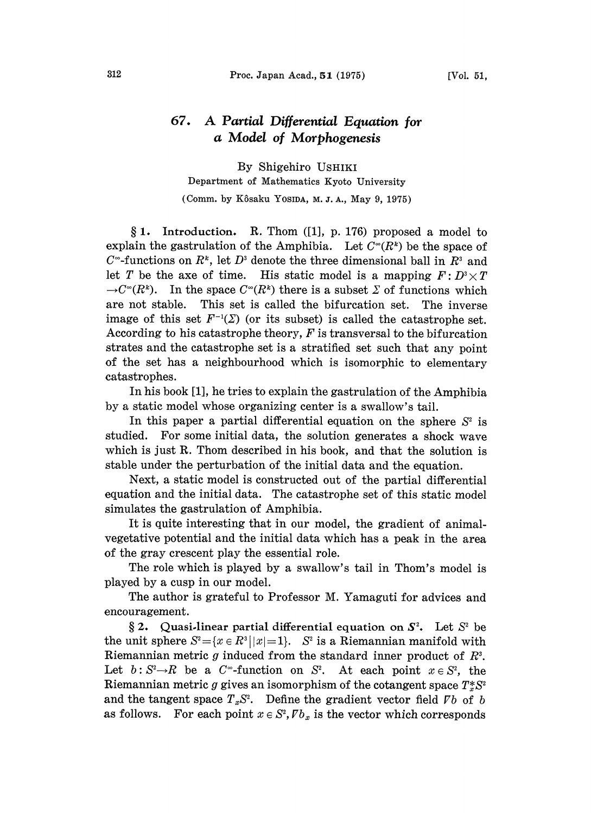## 67. A Partial Differential Equation for a Model of Morphogenesis

By Shigehiro USHIKI Department of Mathematics Kyoto University (Comm. by Kôsaku Yosida, M. J. A., May 9, 1975)

 $§ 1.$  Introduction. R. Thom ([1], p. 176) proposed a model to explain the gastrulation of the Amphibia. Let  $C^{\infty}(R^k)$  be the space of  $C^{\infty}$ -functions on  $R^k$ , let  $D^3$  denote the three dimensional ball in  $R^3$  and let T be the axe of time. His static model is a mapping  $F: D^3 \times T$  $\rightarrow C^{\infty}(R^k)$ . In the space  $C^{\infty}(R^k)$  there is a subset  $\Sigma$  of functions which are not stable. This set is called the bifurcation set. The inverse image of this set  $F^{-1}(\Sigma)$  (or its subset) is called the catastrophe set. According to his catastrophe theory,  $F$  is transversal to the bifurcation strates and the catastrophe set is a stratified set such that any point of the set has a neighbourhood which is isomorphic to elementary catastrophes.

In his book [1], he tries to explain the gastrulation of the Amphibia by a static model whose organizing center is a swallow's tail.

In this paper a partial differential equation on the sphere  $S<sup>2</sup>$  is studied. For some initial data, the solution generates a shock wave which is just R. Thom described in his book, and that the solution is stable under the perturbation of the initial data and the equation.

Next, a static model is constructed out of the partial differential equation and the initial data. The catastrophe set of this static model simulates the gastrulation of Amphibia.

It is quite interesting that in our model, the gradient of animalvegetative potential and the initial data which has a peak in the area of the gray crescent play the essential role.

The role which is played by a swallow's tail in Thom's model is played by a cusp in our model.

The author is grateful to Professor M. Yamaguti for advices and encouragement.

§ 2. Quasi-linear partial differential equation on  $S^2$ . Let  $S^2$  be the unit sphere  $S^2 = \{x \in \mathbb{R}^3 \mid |x|=1\}$ .  $S^2$  is a Riemannian manifold with Riemannian metric g induced from the standard inner product of  $R^3$ . Let  $b: S^2 \rightarrow R$  be a  $C^{\infty}$ -function on  $S^2$ . At each point  $x \in S^2$ , the Riemannian metric g gives an isomorphism of the cotangent space  $T^*_{\sigma}S^2$ and the tangent space  $T_xS^2$ . Define the gradient vector field  $\nabla b$  of b as follows. For each point  $x \in S^2$ ,  $\mathbb{Z} b_x$  is the vector which corresponds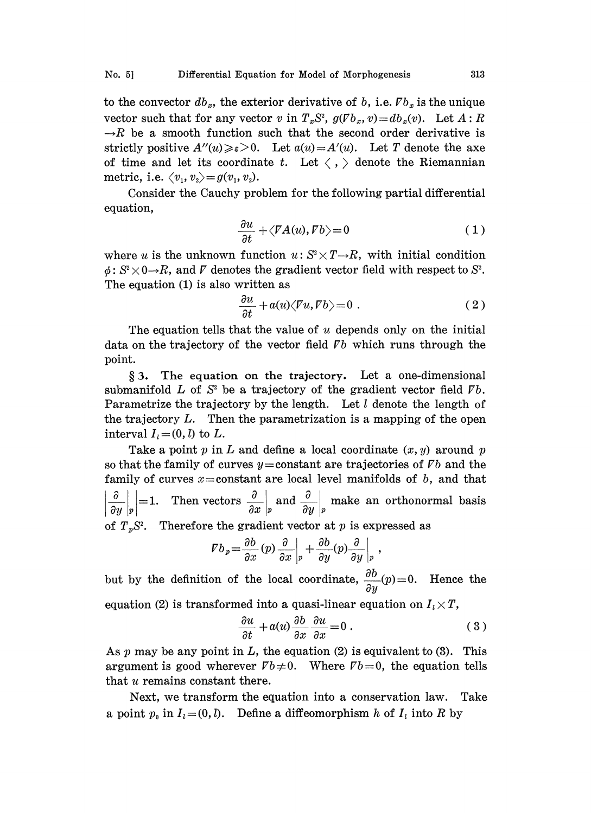to the convector  $db_x$ , the exterior derivative of b, i.e.  $\mathbb{F}b_x$  is the unique vector such that for any vector v in  $T_xS^2$ ,  $g(\nabla b_x, v) = db_x(v)$ . Let  $A: R \rightarrow R$  be a smooth function such that the second order derivative is strictly positive  $A''(u) \geq \varepsilon > 0$ . Let  $a(u) = A'(u)$ . Let T denote the axe of time and let its coordinate t. Let  $\langle , \rangle$  denote the Riemannian metric, i.e.  $\langle v_1, v_2 \rangle = g(v_1, v_2)$ .

Consider the Cauchy problem for the following partial differential equation,

$$
\frac{\partial u}{\partial t} + \langle \nabla A(u), \nabla b \rangle = 0 \tag{1}
$$

where u is the unknown function  $u: S^2 \times T \rightarrow R$ , with initial condition  $\phi: S^2 \times 0 \rightarrow R$ , and  $\bar{V}$  denotes the gradient vector field with respect to  $S^2$ . The equation (1) is also written as

$$
\frac{\partial u}{\partial t} + a(u)\langle Fu, Fb \rangle = 0 \tag{2}
$$

The equation tells that the value of  $u$  depends only on the initial data on the trajectory of the vector field  $\nabla b$  which runs through the point.

3. The equation on the trajectory. Let a one-dimensional submanifold L of  $S<sup>2</sup>$  be a trajectory of the gradient vector field  $\nabla b$ . Parametrize the trajectory by the length. Let  $l$  denote the length of the trajectory  $L$ . Then the parametrization is a mapping of the open interval  $I_i=(0, l)$  to L.

Take a point p in L and define a local coordinate  $(x, y)$  around p so that the family of curves  $y=$ constant are trajectories of  $\nabla b$  and the family of curves  $x=$  constant are local level manifolds of  $b$ , and that  $\frac{\partial}{\partial z}$  = 1. Then vectors  $\frac{\partial}{\partial z}$  and  $\frac{\partial}{\partial z}$  make an orthonormal basis of  $T_pS^2$ . Therefore the gradient vector at p is expressed as

$$
Vb_p = \frac{\partial b}{\partial x}(p)\frac{\partial}{\partial x}\bigg|_p + \frac{\partial b}{\partial y}(p)\frac{\partial}{\partial y}\bigg|_p,
$$

 $\frac{\partial}{\partial x}(p) \frac{\partial}{\partial x}\Big|_p + \frac{\partial}{\partial y}(p) \frac{\partial}{\partial y}\Big|_p$ <br>the local coordinate,  $\frac{\partial}{\partial y}$ <br>ed into a quasi-linear equ but by the definition of the local coordinate,  $\frac{\partial b}{\partial y}(p)=0$ . Hence the equation (2) is transformed into a quasi-linear equation on  $I \times T$ 

lational (2) is transformed into a quasi-linear equation on 
$$
I_i \times I
$$
,

$$
\frac{\partial u}{\partial t} + a(u) \frac{\partial b}{\partial x} \frac{\partial u}{\partial x} = 0.
$$
 (3)

As p may be any point in L, the equation (2) is equivalent to (3). This argument is good wherever  $\nabla b \neq 0$ . Where  $\nabla b = 0$ , the equation tells that u remains constant there.

Next, we transform the equation into a conservation law. Take a point  $p_0$  in  $I_i=(0, l)$ . Define a diffeomorphism h of  $I_i$  into R by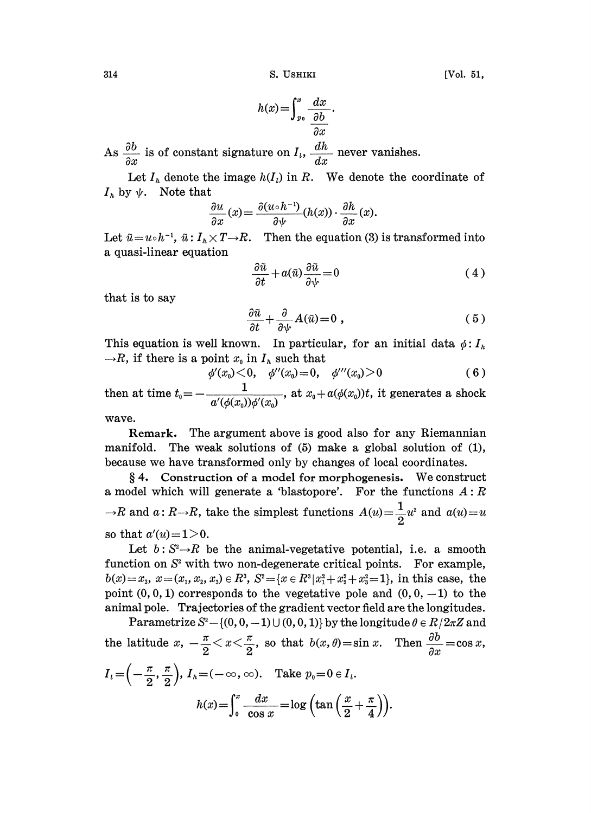314 **S. USHIKI** [Vol. 51,

$$
h(x) = \int_{p_0}^{x} \frac{dx}{\frac{\partial b}{\partial x}}.
$$

As  $\frac{\partial b}{\partial x}$  is of constant signature on  $I_t$ ,  $\frac{dh}{dx}$  never vanishes.

Let  $I_h$  denote the image  $h(I_l)$  in R. We denote the coordinate of  $I_h$  by  $\psi$ . Note that

$$
\frac{\partial u}{\partial x}(x) = \frac{\partial (u \circ h^{-1})}{\partial \psi}(h(x)) \cdot \frac{\partial h}{\partial x}(x).
$$

Let  $\tilde{u}=u\circ h^{-1}$ ,  $\tilde{u}: I_h\times T\rightarrow R$ . Then the equation (3) is transformed into a quasi-linear equation

$$
\frac{\partial \tilde{u}}{\partial t} + a(\tilde{u}) \frac{\partial \tilde{u}}{\partial \psi} = 0 \tag{4}
$$

that is to say

$$
\frac{\partial \tilde{u}}{\partial t} + \frac{\partial}{\partial \psi} A(\tilde{u}) = 0 , \qquad (5)
$$

This equation is well known. In particular, for an initial data  $\phi: I_{\hbar}$  $\rightarrow R$ , if there is a point  $x_0$  in  $I_h$  such that

$$
\phi'(x_0) \leq 0, \quad \phi''(x_0) = 0, \quad \phi'''(x_0) > 0 \tag{6}
$$

then at time  $t_0 = -\frac{1}{a'(\phi(x_0))\phi'(x_0)}$ , at  $x_0 + a(\phi(x_0))t$ , it generates a shock

wave.

Remark. The argument above is good also for any Riemannian manifold. The weak solutions of (5) make a global solution of (1), because we have transformed only by changes of local coordinates.

4. Construction of <sup>a</sup> model for morphogenesis. We construct a model which will generate a 'blastopore'. For the functions  $A: R$  $\rightarrow$ R and  $a: R \rightarrow R$ , take the simplest functions  $A(u) = \frac{1}{2}u^2$  and  $a(u) = u$ so that  $a'(u)=1>0$ .

Let  $b: S^2 \rightarrow R$  be the animal-vegetative potential, i.e. a smooth function on  $S<sup>2</sup>$  with two non-degenerate critical points. For example,  $b(x)=x_3$ ,  $x=(x_1, x_2, x_3) \in \mathbb{R}^3$ ,  $S^2=\{x \in \mathbb{R}^3 | x_1^2 + x_2^2 + x_3^2 = 1\}$ , in this case, the point  $(0, 0, 1)$  corresponds to the vegetative pole and  $(0, 0, -1)$  to the animal pole. Trajectories of the gradient vector field are the longitudes.

Parametrize  $S^2 - \{(0, 0, -1) \cup (0, 0, 1)\}$  by the longitude  $\theta \in R/2\pi\mathbb{Z}$  and the latitude  $x, -\frac{\pi}{2} < x < \frac{\pi}{2}$ , so that  $b(x, \theta) = \sin x$ . Then  $\frac{\partial b}{\partial x} = \cos x$ ,  $\partial x$  $I_i = \left(-\frac{\pi}{2}, \frac{\pi}{2}\right), I_h = (-\infty, \infty)$ . Take  $p_0 = 0 \in I_i$ .  $h(x)=\int_0^x\frac{dx}{\cos x}=\log\left(\tan\left(\frac{x}{2}+\frac{\pi}{4}\right)\right).$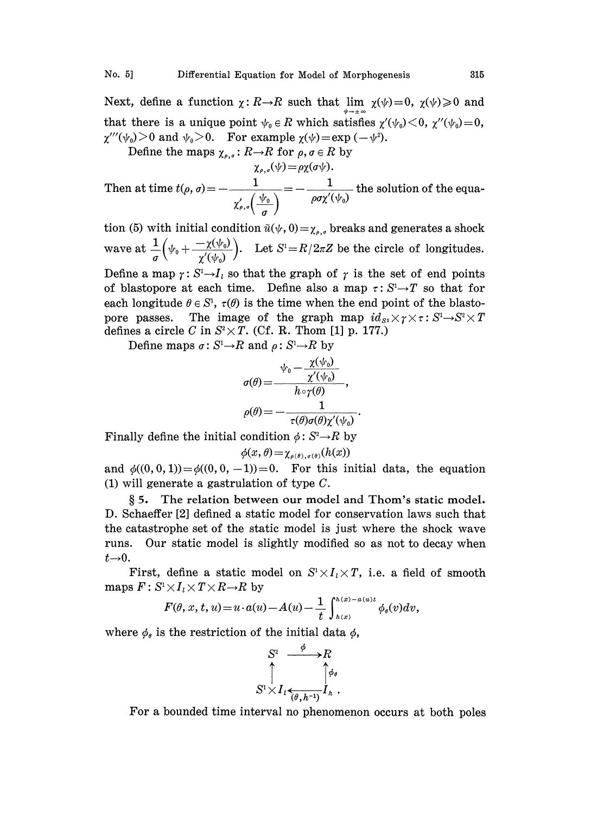Next, define a function  $\chi: R\rightarrow R$  such that lim  $\chi(\psi)=0$ ,  $\chi(\psi)\geq 0$  and that there is a unique point  $\psi_0 \in R$  which satisfies  $\chi'(\psi_0) < 0$ ,  $\chi''(\psi_0) = 0$ ,  $\chi'''(\psi_0)$  and  $\psi_0$  > 0. For example  $\chi(\psi)$  = exp ( $-\psi^2$ ).

Define the maps  $\chi_{\rho,\sigma}:R\to R$  for  $\rho,\sigma\in R$  by

$$
\chi_{\rho,\sigma}(\psi) = \rho \chi(\sigma \psi).
$$
  
Then at time  $t(\rho, \sigma) = -\frac{1}{\chi_{\rho,\sigma}'(\frac{\psi_0}{\sigma})} = -\frac{1}{\rho \sigma \chi'(\psi_0)}$  the solution of the equa-

tion (5) with initial condition  $\tilde{u}(\psi, 0) = \chi_{s,\sigma}$  breaks and generates a shock wave at  $\frac{1}{\sigma} \left( \psi_0 + \frac{-\chi(\psi_0)}{\chi'(\psi_0)} \right)$ . Let  $S^1 = R/2\pi Z$  be the circle of longitudes. Define a map  $\gamma: S^1 \rightarrow I_i$  so that the graph of  $\gamma$  is the set of end points of blastopore at each time. Define also a map  $\tau: S^1 \rightarrow T$  so that for

each longitude  $\theta \in S^1$ ,  $\tau(\theta)$  is the time when the end point of the blastopore passes. The image of the graph map  $id_{S_1} \times \gamma \times \tau : S^1 \rightarrow S^2 \times T$ defines a circle C in  $S^2 \times T$ . (Cf. R. Thom [1] p. 177.)

Define maps  $\sigma: S^1 \rightarrow R$  and  $\rho: S^1 \rightarrow R$  by

$$
\sigma(\theta) = \frac{\frac{\sqrt{\psi_0} - \frac{\chi(\psi_0)}{\chi'(\psi_0)}}{h \circ \gamma(\theta)}}{h \circ \gamma(\theta)},
$$

$$
\rho(\theta) = -\frac{1}{\tau(\theta)\sigma(\theta)\chi'(\psi_0)}
$$

Finally define the initial condition  $\phi: S^2 \rightarrow R$  by

$$
\phi(x,\theta) = \chi_{\rho(\theta),\sigma(\theta)}(h(x))
$$

and  $\phi((0, 0, 1)) = \phi((0, 0, -1)) = 0$ . For this initial data, the equation (1) will generate a gastrulation of type  $C$ .

§ 5. The relation between our model and Thom's static model. D. Schaeffer [2] defined a static model for conservation laws such that the catastrophe set of the static model is just where the shock wave runs. Our static model is slightly modified so as not to decay when  $t\rightarrow 0$ .<br>First, define a static model on  $S^1 \times I_i \times T$ , i.e. a field of smooth

maps  $F: S^1 \times I$ <sub>l</sub> $\times T \times R \rightarrow R$  by

$$
F(\theta, x, t, u) = u \cdot a(u) - A(u) - \frac{1}{t} \int_{h(x)}^{h(x) - a(u)t} \phi_{\theta}(v) dv,
$$

where  $\phi_{\theta}$  is the restriction of the initial data  $\phi$ ,

$$
S^2 \xrightarrow{\phi} R
$$
  

$$
S^1 \times I \underset{(\theta, h^{-1})}{\longleftrightarrow} I_h.
$$

For a bounded time interval no phenomenon occurs at both poles